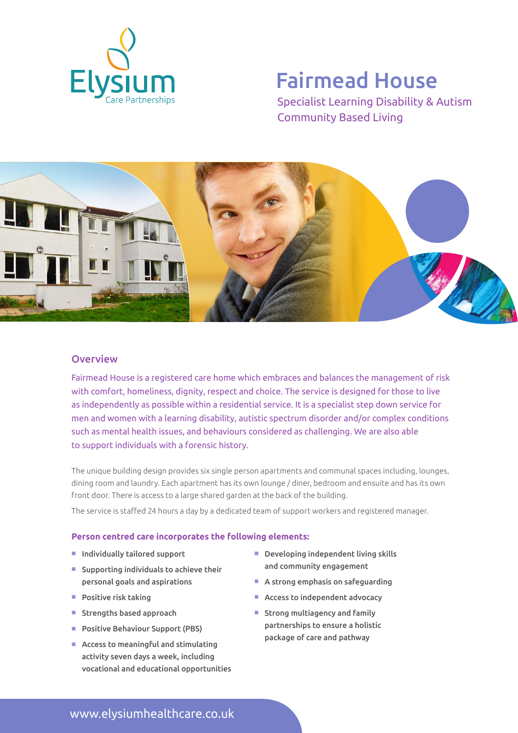

# Fairmead House

Specialist Learning Disability & Autism Community Based Living



### **Overview**

Fairmead House is a registered care home which embraces and balances the management of risk with comfort, homeliness, dignity, respect and choice. The service is designed for those to live as independently as possible within a residential service. It is a specialist step down service for men and women with a learning disability, autistic spectrum disorder and/or complex conditions such as mental health issues, and behaviours considered as challenging. We are also able to support individuals with a forensic history.

The unique building design provides six single person apartments and communal spaces including, lounges, dining room and laundry. Each apartment has its own lounge / diner, bedroom and ensuite and has its own front door. There is access to a large shared garden at the back of the building.

The service is staffed 24 hours a day by a dedicated team of support workers and registered manager.

#### **Person centred care incorporates the following elements:**

- Individually tailored support
- $\blacksquare$  Supporting individuals to achieve their personal goals and aspirations
- $\blacksquare$  Positive risk taking
- Strengths based approach
- Positive Behaviour Support (PBS)
- $\blacksquare$  Access to meaningful and stimulating activity seven days a week, including vocational and educational opportunities
- $\blacksquare$  Developing independent living skills and community engagement
- $\blacksquare$  A strong emphasis on safeguarding
- $\blacksquare$  Access to independent advocacy
- $\blacksquare$  Strong multiagency and family partnerships to ensure a holistic package of care and pathway

www.elysiumhealthcare.co.uk